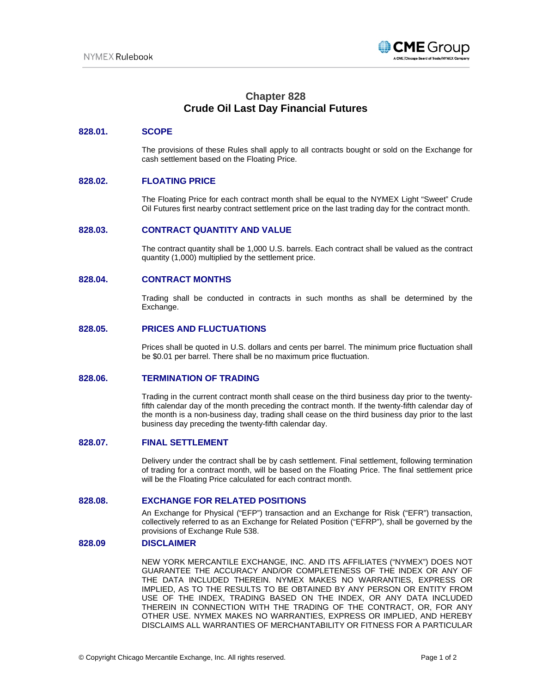

# **Chapter 828 Crude Oil Last Day Financial Futures**

### **828.01. SCOPE**

The provisions of these Rules shall apply to all contracts bought or sold on the Exchange for cash settlement based on the Floating Price.

## **828.02. FLOATING PRICE**

The Floating Price for each contract month shall be equal to the NYMEX Light "Sweet" Crude Oil Futures first nearby contract settlement price on the last trading day for the contract month.

#### **828.03. CONTRACT QUANTITY AND VALUE**

The contract quantity shall be 1,000 U.S. barrels. Each contract shall be valued as the contract quantity (1,000) multiplied by the settlement price.

#### **828.04. CONTRACT MONTHS**

Trading shall be conducted in contracts in such months as shall be determined by the Exchange.

#### **828.05. PRICES AND FLUCTUATIONS**

Prices shall be quoted in U.S. dollars and cents per barrel. The minimum price fluctuation shall be \$0.01 per barrel. There shall be no maximum price fluctuation.

#### **828.06. TERMINATION OF TRADING**

Trading in the current contract month shall cease on the third business day prior to the twentyfifth calendar day of the month preceding the contract month. If the twenty-fifth calendar day of the month is a non-business day, trading shall cease on the third business day prior to the last business day preceding the twenty-fifth calendar day.

#### **828.07. FINAL SETTLEMENT**

Delivery under the contract shall be by cash settlement. Final settlement, following termination of trading for a contract month, will be based on the Floating Price. The final settlement price will be the Floating Price calculated for each contract month.

#### **828.08. EXCHANGE FOR RELATED POSITIONS**

An Exchange for Physical ("EFP") transaction and an Exchange for Risk ("EFR") transaction, collectively referred to as an Exchange for Related Position ("EFRP"), shall be governed by the provisions of Exchange Rule 538.

#### **828.09 DISCLAIMER**

NEW YORK MERCANTILE EXCHANGE, INC. AND ITS AFFILIATES ("NYMEX") DOES NOT GUARANTEE THE ACCURACY AND/OR COMPLETENESS OF THE INDEX OR ANY OF THE DATA INCLUDED THEREIN. NYMEX MAKES NO WARRANTIES, EXPRESS OR IMPLIED, AS TO THE RESULTS TO BE OBTAINED BY ANY PERSON OR ENTITY FROM USE OF THE INDEX, TRADING BASED ON THE INDEX, OR ANY DATA INCLUDED THEREIN IN CONNECTION WITH THE TRADING OF THE CONTRACT, OR, FOR ANY OTHER USE. NYMEX MAKES NO WARRANTIES, EXPRESS OR IMPLIED, AND HEREBY DISCLAIMS ALL WARRANTIES OF MERCHANTABILITY OR FITNESS FOR A PARTICULAR